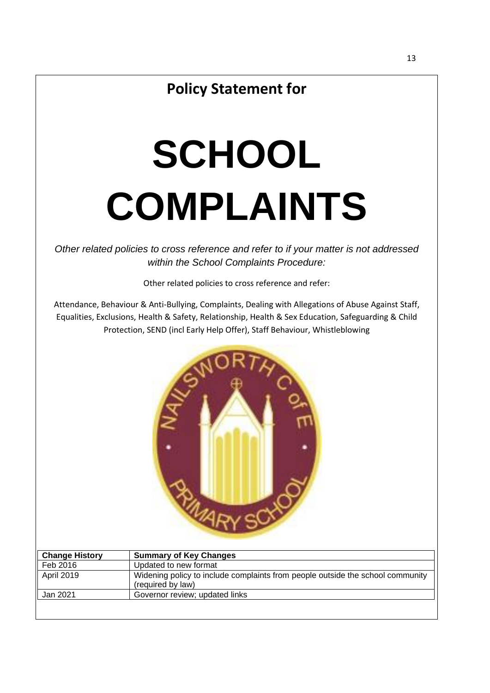# **Policy Statement for**

# **SCHOOL COMPLAINTS**

*Other related policies to cross reference and refer to if your matter is not addressed within the School Complaints Procedure:* 

Other related policies to cross reference and refer:

Attendance, Behaviour & Anti-Bullying, Complaints, Dealing with Allegations of Abuse Against Staff, Equalities, Exclusions, Health & Safety, Relationship, Health & Sex Education, Safeguarding & Child Protection, SEND (incl Early Help Offer), Staff Behaviour, Whistleblowing



| <b>Change History</b> | <b>Summary of Key Changes</b>                                                                       |
|-----------------------|-----------------------------------------------------------------------------------------------------|
| Feb 2016              | Updated to new format                                                                               |
| April 2019            | Widening policy to include complaints from people outside the school community<br>(required by law) |
| Jan 2021              | Governor review; updated links                                                                      |
|                       |                                                                                                     |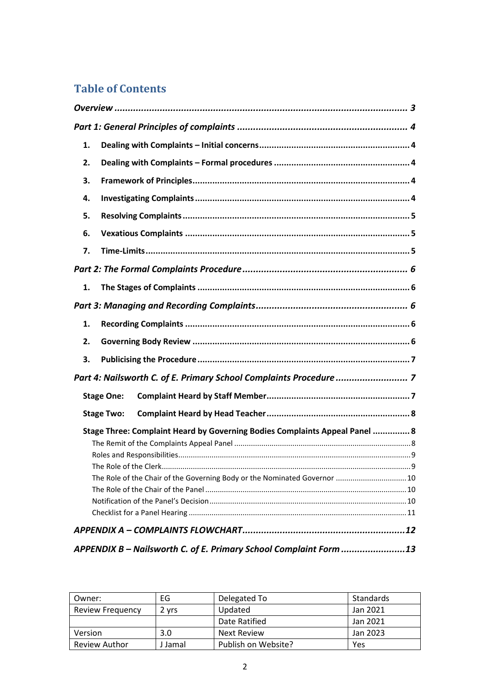# **Table of Contents**

| 1.                                                                          |
|-----------------------------------------------------------------------------|
| 2.                                                                          |
| З.                                                                          |
| 4.                                                                          |
| 5.                                                                          |
| 6.                                                                          |
| 7.                                                                          |
|                                                                             |
| 1.                                                                          |
|                                                                             |
| 1.                                                                          |
| 2.                                                                          |
| 3.                                                                          |
| Part 4: Nailsworth C. of E. Primary School Complaints Procedure  7          |
| <b>Stage One:</b>                                                           |
| <b>Stage Two:</b>                                                           |
| Stage Three: Complaint Heard by Governing Bodies Complaints Appeal Panel  8 |
|                                                                             |
|                                                                             |
|                                                                             |
| The Role of the Chair of the Governing Body or the Nominated Governor  10   |
|                                                                             |
|                                                                             |
|                                                                             |
| APPENDIX B - Nailsworth C. of E. Primary School Complaint Form 13           |

| Owner:                  | EG      | Delegated To        | Standards |
|-------------------------|---------|---------------------|-----------|
| <b>Review Frequency</b> | 2 vrs   | Updated             | Jan 2021  |
|                         |         | Date Ratified       | Jan 2021  |
| Version                 | 3.0     | Next Review         | Jan 2023  |
| <b>Review Author</b>    | J Jamal | Publish on Website? | Yes       |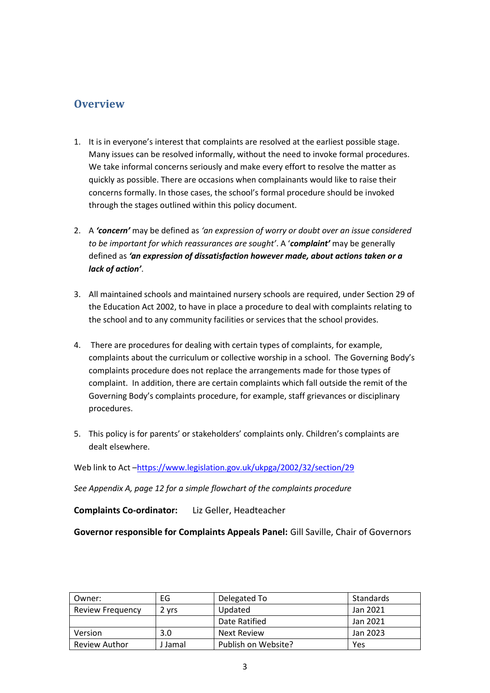## <span id="page-2-0"></span>**Overview**

- 1. It is in everyone's interest that complaints are resolved at the earliest possible stage. Many issues can be resolved informally, without the need to invoke formal procedures. We take informal concerns seriously and make every effort to resolve the matter as quickly as possible. There are occasions when complainants would like to raise their concerns formally. In those cases, the school's formal procedure should be invoked through the stages outlined within this policy document.
- 2. A *'concern'* may be defined as *'an expression of worry or doubt over an issue considered to be important for which reassurances are sought'*. A '*complaint'* may be generally defined as *'an expression of dissatisfaction however made, about actions taken or a lack of action'*.
- 3. All maintained schools and maintained nursery schools are required, under Section 29 of the Education Act 2002, to have in place a procedure to deal with complaints relating to the school and to any community facilities or services that the school provides.
- 4. There are procedures for dealing with certain types of complaints, for example, complaints about the curriculum or collective worship in a school. The Governing Body's complaints procedure does not replace the arrangements made for those types of complaint. In addition, there are certain complaints which fall outside the remit of the Governing Body's complaints procedure, for example, staff grievances or disciplinary procedures.
- 5. This policy is for parents' or stakeholders' complaints only. Children's complaints are dealt elsewhere.

Web link to Act -<https://www.legislation.gov.uk/ukpga/2002/32/section/29>

*See Appendix A, page 12 for a simple flowchart of the complaints procedure*

**Complaints Co-ordinator:** Liz Geller, Headteacher

**Governor responsible for Complaints Appeals Panel:** Gill Saville, Chair of Governors

| Owner:                  | EG      | Delegated To        | Standards |
|-------------------------|---------|---------------------|-----------|
| <b>Review Frequency</b> | ∠ vrs   | Updated             | Jan 2021  |
|                         |         | Date Ratified       | Jan 2021  |
| Version                 | 3.0     | <b>Next Review</b>  | Jan 2023  |
| <b>Review Author</b>    | J Jamal | Publish on Website? | Yes       |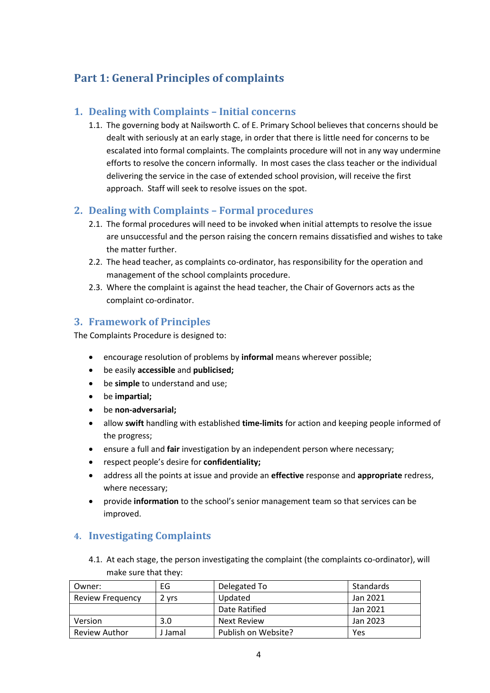# <span id="page-3-0"></span>**Part 1: General Principles of complaints**

#### <span id="page-3-1"></span>**1. Dealing with Complaints – Initial concerns**

1.1. The governing body at Nailsworth C. of E. Primary School believes that concerns should be dealt with seriously at an early stage, in order that there is little need for concerns to be escalated into formal complaints. The complaints procedure will not in any way undermine efforts to resolve the concern informally. In most cases the class teacher or the individual delivering the service in the case of extended school provision, will receive the first approach. Staff will seek to resolve issues on the spot.

#### <span id="page-3-2"></span>**2. Dealing with Complaints – Formal procedures**

- 2.1. The formal procedures will need to be invoked when initial attempts to resolve the issue are unsuccessful and the person raising the concern remains dissatisfied and wishes to take the matter further.
- 2.2. The head teacher, as complaints co-ordinator, has responsibility for the operation and management of the school complaints procedure.
- 2.3. Where the complaint is against the head teacher, the Chair of Governors acts as the complaint co-ordinator.

#### <span id="page-3-3"></span>**3. Framework of Principles**

The Complaints Procedure is designed to:

- encourage resolution of problems by **informal** means wherever possible;
- be easily **accessible** and **publicised;**
- be **simple** to understand and use;
- be **impartial;**
- be **non-adversarial;**
- allow **swift** handling with established **time-limits** for action and keeping people informed of the progress;
- ensure a full and **fair** investigation by an independent person where necessary;
- respect people's desire for **confidentiality;**
- address all the points at issue and provide an **effective** response and **appropriate** redress, where necessary;
- provide **information** to the school's senior management team so that services can be improved.

#### <span id="page-3-4"></span>**4. Investigating Complaints**

4.1. At each stage, the person investigating the complaint (the complaints co-ordinator), will make sure that they:

| Owner:                  | EG      | Delegated To        | Standards |
|-------------------------|---------|---------------------|-----------|
| <b>Review Frequency</b> | 2 vrs   | Updated             | Jan 2021  |
|                         |         | Date Ratified       | Jan 2021  |
| Version                 | 3.0     | Next Review         | Jan 2023  |
| <b>Review Author</b>    | I Jamal | Publish on Website? | Yes       |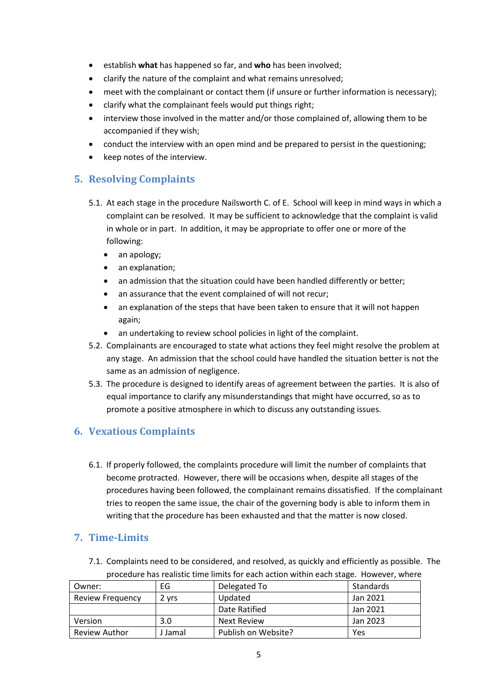- establish **what** has happened so far, and **who** has been involved;
- clarify the nature of the complaint and what remains unresolved;
- meet with the complainant or contact them (if unsure or further information is necessary);
- clarify what the complainant feels would put things right;
- interview those involved in the matter and/or those complained of, allowing them to be accompanied if they wish;
- conduct the interview with an open mind and be prepared to persist in the questioning;
- keep notes of the interview.

### <span id="page-4-0"></span>**5. Resolving Complaints**

- 5.1. At each stage in the procedure Nailsworth C. of E. School will keep in mind ways in which a complaint can be resolved. It may be sufficient to acknowledge that the complaint is valid in whole or in part. In addition, it may be appropriate to offer one or more of the following:
	- an apology;
	- an explanation;
	- an admission that the situation could have been handled differently or better;
	- an assurance that the event complained of will not recur;
	- an explanation of the steps that have been taken to ensure that it will not happen again;
	- an undertaking to review school policies in light of the complaint.
- 5.2. Complainants are encouraged to state what actions they feel might resolve the problem at any stage. An admission that the school could have handled the situation better is not the same as an admission of negligence.
- 5.3. The procedure is designed to identify areas of agreement between the parties. It is also of equal importance to clarify any misunderstandings that might have occurred, so as to promote a positive atmosphere in which to discuss any outstanding issues.

#### <span id="page-4-1"></span>**6. Vexatious Complaints**

6.1. If properly followed, the complaints procedure will limit the number of complaints that become protracted. However, there will be occasions when, despite all stages of the procedures having been followed, the complainant remains dissatisfied. If the complainant tries to reopen the same issue, the chair of the governing body is able to inform them in writing that the procedure has been exhausted and that the matter is now closed.

#### <span id="page-4-2"></span>**7. Time-Limits**

7.1. Complaints need to be considered, and resolved, as quickly and efficiently as possible. The procedure has realistic time limits for each action within each stage. However, where

| Owner:                  | EG      | Delegated To        | Standards |
|-------------------------|---------|---------------------|-----------|
| <b>Review Frequency</b> | 2 vrs   | Updated             | Jan 2021  |
|                         |         | Date Ratified       | Jan 2021  |
| Version                 | 3.0     | Next Review         | Jan 2023  |
| Review Author           | J Jamal | Publish on Website? | Yes       |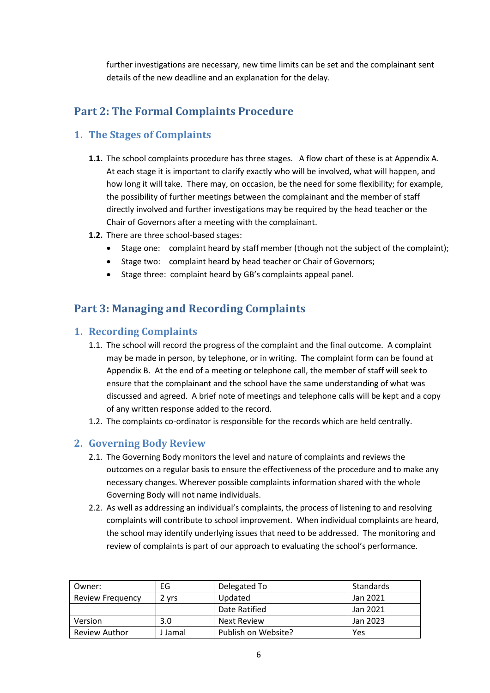further investigations are necessary, new time limits can be set and the complainant sent details of the new deadline and an explanation for the delay.

# <span id="page-5-0"></span>**Part 2: The Formal Complaints Procedure**

### <span id="page-5-1"></span>**1. The Stages of Complaints**

- **1.1.** The school complaints procedure has three stages. A flow chart of these is at Appendix A. At each stage it is important to clarify exactly who will be involved, what will happen, and how long it will take. There may, on occasion, be the need for some flexibility; for example, the possibility of further meetings between the complainant and the member of staff directly involved and further investigations may be required by the head teacher or the Chair of Governors after a meeting with the complainant.
- **1.2.** There are three school-based stages:
	- Stage one: complaint heard by staff member (though not the subject of the complaint);
	- Stage two: complaint heard by head teacher or Chair of Governors;
	- Stage three: complaint heard by GB's complaints appeal panel.

## <span id="page-5-2"></span>**Part 3: Managing and Recording Complaints**

#### <span id="page-5-3"></span>**1. Recording Complaints**

- 1.1. The school will record the progress of the complaint and the final outcome. A complaint may be made in person, by telephone, or in writing. The complaint form can be found at Appendix B. At the end of a meeting or telephone call, the member of staff will seek to ensure that the complainant and the school have the same understanding of what was discussed and agreed. A brief note of meetings and telephone calls will be kept and a copy of any written response added to the record.
- 1.2. The complaints co-ordinator is responsible for the records which are held centrally.

#### <span id="page-5-4"></span>**2. Governing Body Review**

- 2.1. The Governing Body monitors the level and nature of complaints and reviews the outcomes on a regular basis to ensure the effectiveness of the procedure and to make any necessary changes. Wherever possible complaints information shared with the whole Governing Body will not name individuals.
- 2.2. As well as addressing an individual's complaints, the process of listening to and resolving complaints will contribute to school improvement. When individual complaints are heard, the school may identify underlying issues that need to be addressed. The monitoring and review of complaints is part of our approach to evaluating the school's performance.

| Owner:                  | EG      | Delegated To        | Standards |
|-------------------------|---------|---------------------|-----------|
| <b>Review Frequency</b> | 2 yrs   | Updated             | Jan 2021  |
|                         |         | Date Ratified       | Jan 2021  |
| Version                 | 3.0     | Next Review         | Jan 2023  |
| Review Author           | J Jamal | Publish on Website? | Yes       |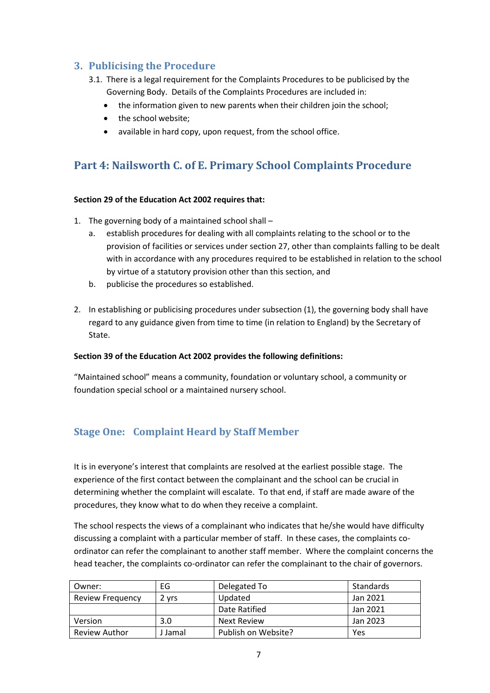#### <span id="page-6-0"></span>**3. Publicising the Procedure**

- 3.1. There is a legal requirement for the Complaints Procedures to be publicised by the Governing Body. Details of the Complaints Procedures are included in:
	- the information given to new parents when their children join the school:
	- the school website;
	- available in hard copy, upon request, from the school office.

## <span id="page-6-1"></span>**Part 4: Nailsworth C. of E. Primary School Complaints Procedure**

#### **Section 29 of the Education Act 2002 requires that:**

- 1. The governing body of a maintained school shall
	- a. establish procedures for dealing with all complaints relating to the school or to the provision of facilities or services under section 27, other than complaints falling to be dealt with in accordance with any procedures required to be established in relation to the school by virtue of a statutory provision other than this section, and
	- b. publicise the procedures so established.
- 2. In establishing or publicising procedures under subsection (1), the governing body shall have regard to any guidance given from time to time (in relation to England) by the Secretary of State.

#### **Section 39 of the Education Act 2002 provides the following definitions:**

"Maintained school" means a community, foundation or voluntary school, a community or foundation special school or a maintained nursery school.

#### <span id="page-6-2"></span>**Stage One: Complaint Heard by Staff Member**

It is in everyone's interest that complaints are resolved at the earliest possible stage. The experience of the first contact between the complainant and the school can be crucial in determining whether the complaint will escalate. To that end, if staff are made aware of the procedures, they know what to do when they receive a complaint.

The school respects the views of a complainant who indicates that he/she would have difficulty discussing a complaint with a particular member of staff. In these cases, the complaints coordinator can refer the complainant to another staff member. Where the complaint concerns the head teacher, the complaints co-ordinator can refer the complainant to the chair of governors.

| Owner:                  | EG      | Delegated To        | Standards |
|-------------------------|---------|---------------------|-----------|
| <b>Review Frequency</b> | 2 vrs   | Updated             | Jan 2021  |
|                         |         | Date Ratified       | Jan 2021  |
| Version                 | 3.0     | <b>Next Review</b>  | Jan 2023  |
| Review Author           | J Jamal | Publish on Website? | Yes       |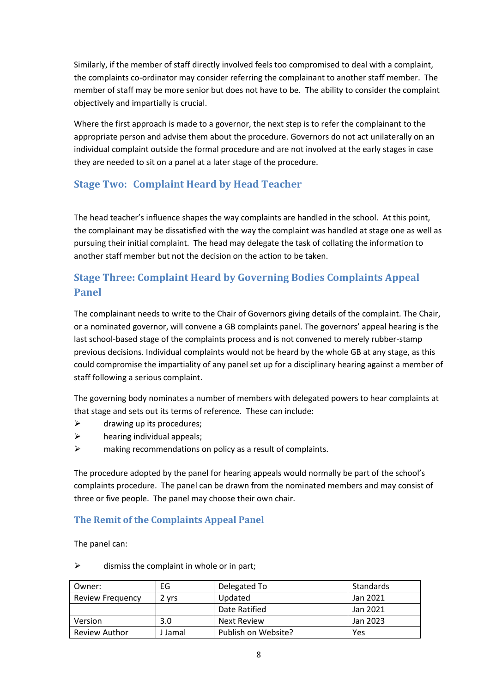Similarly, if the member of staff directly involved feels too compromised to deal with a complaint, the complaints co-ordinator may consider referring the complainant to another staff member. The member of staff may be more senior but does not have to be. The ability to consider the complaint objectively and impartially is crucial.

Where the first approach is made to a governor, the next step is to refer the complainant to the appropriate person and advise them about the procedure. Governors do not act unilaterally on an individual complaint outside the formal procedure and are not involved at the early stages in case they are needed to sit on a panel at a later stage of the procedure.

### <span id="page-7-0"></span>**Stage Two: Complaint Heard by Head Teacher**

The head teacher's influence shapes the way complaints are handled in the school. At this point, the complainant may be dissatisfied with the way the complaint was handled at stage one as well as pursuing their initial complaint. The head may delegate the task of collating the information to another staff member but not the decision on the action to be taken.

## <span id="page-7-1"></span>**Stage Three: Complaint Heard by Governing Bodies Complaints Appeal Panel**

The complainant needs to write to the Chair of Governors giving details of the complaint. The Chair, or a nominated governor, will convene a GB complaints panel. The governors' appeal hearing is the last school-based stage of the complaints process and is not convened to merely rubber-stamp previous decisions. Individual complaints would not be heard by the whole GB at any stage, as this could compromise the impartiality of any panel set up for a disciplinary hearing against a member of staff following a serious complaint.

The governing body nominates a number of members with delegated powers to hear complaints at that stage and sets out its terms of reference. These can include:

- $\triangleright$  drawing up its procedures;
- $\triangleright$  hearing individual appeals;
- ➢ making recommendations on policy as a result of complaints.

The procedure adopted by the panel for hearing appeals would normally be part of the school's complaints procedure. The panel can be drawn from the nominated members and may consist of three or five people. The panel may choose their own chair.

#### <span id="page-7-2"></span>**The Remit of the Complaints Appeal Panel**

The panel can:

 $\triangleright$  dismiss the complaint in whole or in part;

| Owner:                  | EG      | Delegated To        | Standards |
|-------------------------|---------|---------------------|-----------|
| <b>Review Frequency</b> | 2 vrs   | Updated             | Jan 2021  |
|                         |         | Date Ratified       | Jan 2021  |
| Version                 | 3.0     | <b>Next Review</b>  | Jan 2023  |
| <b>Review Author</b>    | J Jamal | Publish on Website? | Yes       |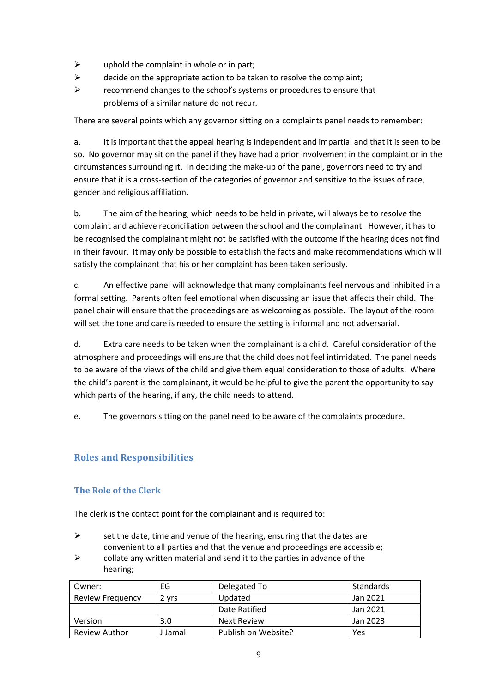- $\triangleright$  uphold the complaint in whole or in part;
- $\triangleright$  decide on the appropriate action to be taken to resolve the complaint;
- ➢ recommend changes to the school's systems or procedures to ensure that problems of a similar nature do not recur.

There are several points which any governor sitting on a complaints panel needs to remember:

a. It is important that the appeal hearing is independent and impartial and that it is seen to be so. No governor may sit on the panel if they have had a prior involvement in the complaint or in the circumstances surrounding it. In deciding the make-up of the panel, governors need to try and ensure that it is a cross-section of the categories of governor and sensitive to the issues of race, gender and religious affiliation.

b. The aim of the hearing, which needs to be held in private, will always be to resolve the complaint and achieve reconciliation between the school and the complainant. However, it has to be recognised the complainant might not be satisfied with the outcome if the hearing does not find in their favour. It may only be possible to establish the facts and make recommendations which will satisfy the complainant that his or her complaint has been taken seriously.

c. An effective panel will acknowledge that many complainants feel nervous and inhibited in a formal setting. Parents often feel emotional when discussing an issue that affects their child. The panel chair will ensure that the proceedings are as welcoming as possible. The layout of the room will set the tone and care is needed to ensure the setting is informal and not adversarial.

d. Extra care needs to be taken when the complainant is a child. Careful consideration of the atmosphere and proceedings will ensure that the child does not feel intimidated. The panel needs to be aware of the views of the child and give them equal consideration to those of adults. Where the child's parent is the complainant, it would be helpful to give the parent the opportunity to say which parts of the hearing, if any, the child needs to attend.

e. The governors sitting on the panel need to be aware of the complaints procedure.

#### <span id="page-8-0"></span>**Roles and Responsibilities**

#### <span id="page-8-1"></span>**The Role of the Clerk**

The clerk is the contact point for the complainant and is required to:

- $\triangleright$  set the date, time and venue of the hearing, ensuring that the dates are convenient to all parties and that the venue and proceedings are accessible;
- $\triangleright$  collate any written material and send it to the parties in advance of the hearing;

| Owner:                  | EG      | Delegated To        | Standards |
|-------------------------|---------|---------------------|-----------|
| <b>Review Frequency</b> | 2 vrs   | Updated             | Jan 2021  |
|                         |         | Date Ratified       | Jan 2021  |
| Version                 | 3.0     | <b>Next Review</b>  | Jan 2023  |
| Review Author           | J Jamal | Publish on Website? | Yes       |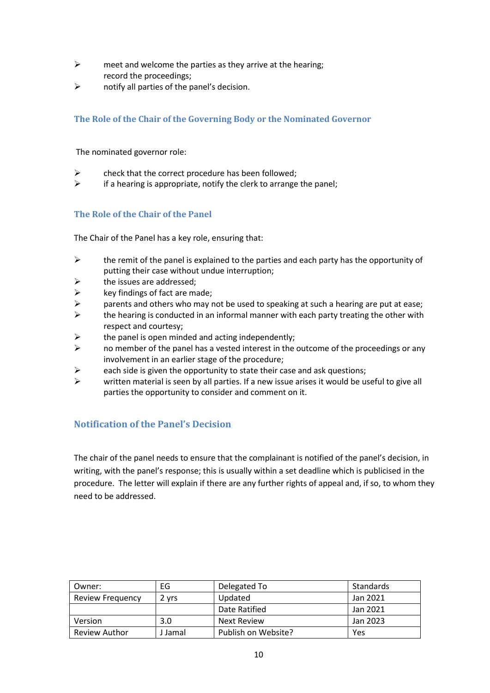- $\triangleright$  meet and welcome the parties as they arrive at the hearing; record the proceedings;
- $\triangleright$  notify all parties of the panel's decision.

#### <span id="page-9-0"></span>**The Role of the Chair of the Governing Body or the Nominated Governor**

The nominated governor role:

- $\triangleright$  check that the correct procedure has been followed;
- $\triangleright$  if a hearing is appropriate, notify the clerk to arrange the panel;

#### <span id="page-9-1"></span>**The Role of the Chair of the Panel**

The Chair of the Panel has a key role, ensuring that:

- $\triangleright$  the remit of the panel is explained to the parties and each party has the opportunity of putting their case without undue interruption;
- $\triangleright$  the issues are addressed;
- $\triangleright$  key findings of fact are made;
- $\triangleright$  parents and others who may not be used to speaking at such a hearing are put at ease;
- $\triangleright$  the hearing is conducted in an informal manner with each party treating the other with respect and courtesy;
- $\triangleright$  the panel is open minded and acting independently;
- $\triangleright$  no member of the panel has a vested interest in the outcome of the proceedings or any involvement in an earlier stage of the procedure;
- $\triangleright$  each side is given the opportunity to state their case and ask questions;
- $\triangleright$  written material is seen by all parties. If a new issue arises it would be useful to give all parties the opportunity to consider and comment on it.

#### <span id="page-9-2"></span>**Notification of the Panel's Decision**

The chair of the panel needs to ensure that the complainant is notified of the panel's decision, in writing, with the panel's response; this is usually within a set deadline which is publicised in the procedure. The letter will explain if there are any further rights of appeal and, if so, to whom they need to be addressed.

| Owner:                  | EG      | Delegated To        | Standards |
|-------------------------|---------|---------------------|-----------|
| <b>Review Frequency</b> | 2 vrs   | Updated             | Jan 2021  |
|                         |         | Date Ratified       | Jan 2021  |
| Version                 | 3.0     | Next Review         | Jan 2023  |
| Review Author           | J Jamal | Publish on Website? | Yes       |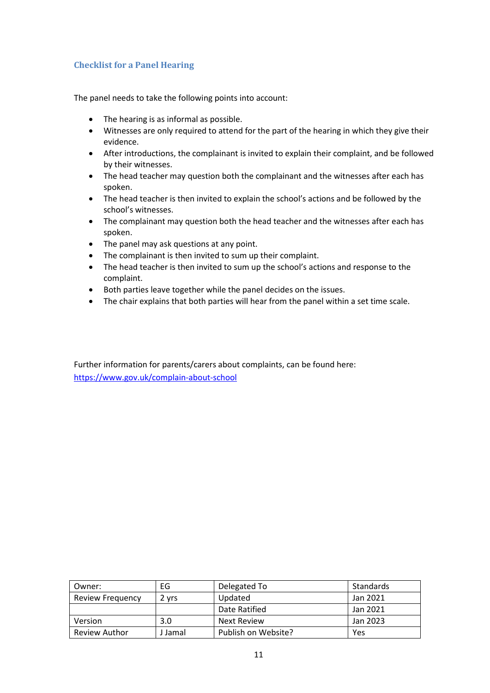#### <span id="page-10-0"></span>**Checklist for a Panel Hearing**

The panel needs to take the following points into account:

- The hearing is as informal as possible.
- Witnesses are only required to attend for the part of the hearing in which they give their evidence.
- After introductions, the complainant is invited to explain their complaint, and be followed by their witnesses.
- The head teacher may question both the complainant and the witnesses after each has spoken.
- The head teacher is then invited to explain the school's actions and be followed by the school's witnesses.
- The complainant may question both the head teacher and the witnesses after each has spoken.
- The panel may ask questions at any point.
- The complainant is then invited to sum up their complaint.
- The head teacher is then invited to sum up the school's actions and response to the complaint.
- Both parties leave together while the panel decides on the issues.
- The chair explains that both parties will hear from the panel within a set time scale.

Further information for parents/carers about complaints, can be found here: <https://www.gov.uk/complain-about-school>

| Owner:                  | EG      | Delegated To        | Standards |
|-------------------------|---------|---------------------|-----------|
| <b>Review Frequency</b> | 2 vrs   | Updated             | Jan 2021  |
|                         |         | Date Ratified       | Jan 2021  |
| Version                 | 3.0     | Next Review         | Jan 2023  |
| Review Author           | J Jamal | Publish on Website? | Yes       |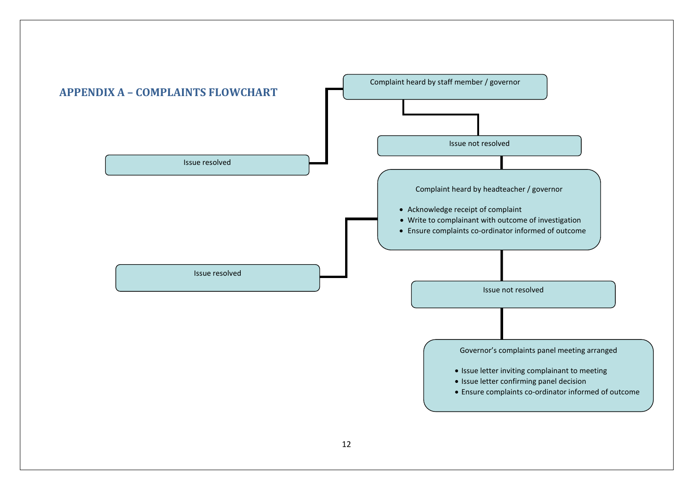<span id="page-11-0"></span>